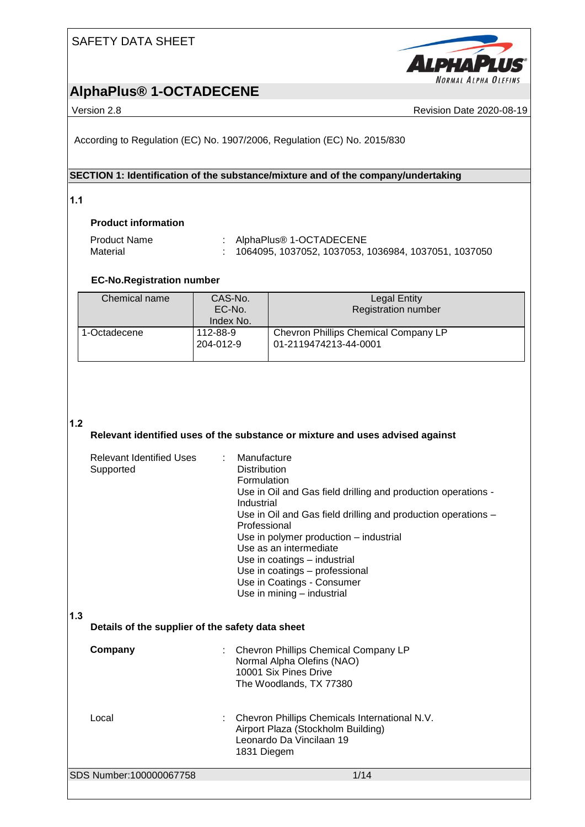



Version 2.8 Revision Date 2020-08-19

According to Regulation (EC) No. 1907/2006, Regulation (EC) No. 2015/830

### **SECTION 1: Identification of the substance/mixture and of the company/undertaking**

**1.1** 

### **Product information**

| Product Name | : AlphaPlus <sup>®</sup> 1-OCTADECENE                      |
|--------------|------------------------------------------------------------|
| Material     | $\pm$ 1064095, 1037052, 1037053, 1036984, 1037051, 1037050 |

### **EC-No.Registration number**

| Chemical name | CAS-No.<br>EC-No.<br>Index No. | <b>Legal Entity</b><br><b>Registration number</b>             |  |  |  |  |
|---------------|--------------------------------|---------------------------------------------------------------|--|--|--|--|
| 1-Octadecene  | 112-88-9<br>204-012-9          | Chevron Phillips Chemical Company LP<br>01-2119474213-44-0001 |  |  |  |  |

#### **1.2**

### **Relevant identified uses of the substance or mixture and uses advised against**

| <b>Relevant Identified Uses</b><br>Supported            | Manufacture<br><b>Distribution</b><br>Formulation<br>Use in Oil and Gas field drilling and production operations -<br>Industrial<br>Use in Oil and Gas field drilling and production operations -<br>Professional<br>Use in polymer production – industrial<br>Use as an intermediate<br>Use in coatings - industrial<br>Use in coatings - professional<br>Use in Coatings - Consumer<br>Use in mining - industrial |
|---------------------------------------------------------|---------------------------------------------------------------------------------------------------------------------------------------------------------------------------------------------------------------------------------------------------------------------------------------------------------------------------------------------------------------------------------------------------------------------|
| 1.3<br>Details of the supplier of the safety data sheet |                                                                                                                                                                                                                                                                                                                                                                                                                     |
| Company                                                 | Chevron Phillips Chemical Company LP<br>Normal Alpha Olefins (NAO)<br>10001 Six Pines Drive<br>The Woodlands, TX 77380                                                                                                                                                                                                                                                                                              |
| Local                                                   | Chevron Phillips Chemicals International N.V.<br>Airport Plaza (Stockholm Building)<br>Leonardo Da Vincilaan 19<br>1831 Diegem                                                                                                                                                                                                                                                                                      |
| SDS Number:100000067758                                 | 1/14                                                                                                                                                                                                                                                                                                                                                                                                                |
|                                                         |                                                                                                                                                                                                                                                                                                                                                                                                                     |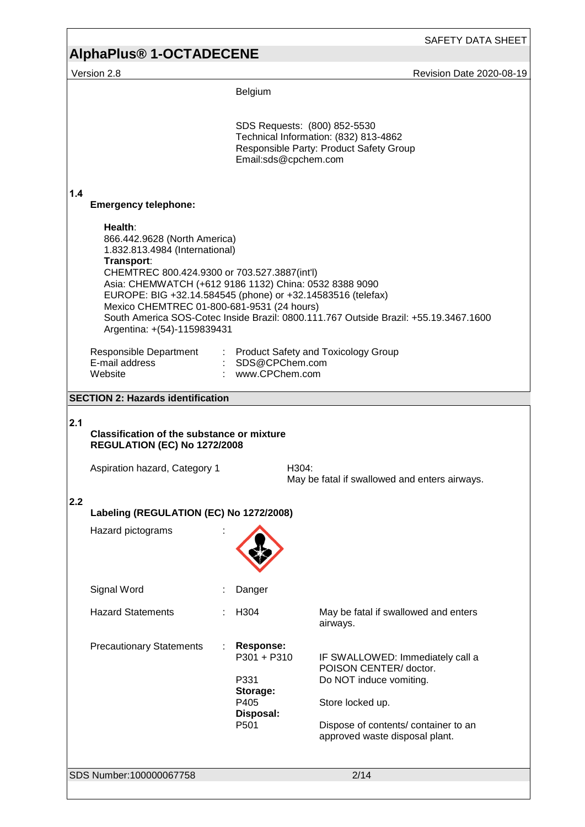# **AlphaPlus® 1-OCTADECENE**

Version 2.8 **Accord 2.8** Revision Date 2020-08-19

Belgium

|     |                                                                                                                                                                                                                                                                                                                                                                                                                                       |  | SDS Requests: (800) 852-5530<br>Email:sds@cpchem.com                                           | Technical Information: (832) 813-4862<br>Responsible Party: Product Safety Group                                                                                                   |  |  |  |
|-----|---------------------------------------------------------------------------------------------------------------------------------------------------------------------------------------------------------------------------------------------------------------------------------------------------------------------------------------------------------------------------------------------------------------------------------------|--|------------------------------------------------------------------------------------------------|------------------------------------------------------------------------------------------------------------------------------------------------------------------------------------|--|--|--|
| 1.4 | <b>Emergency telephone:</b>                                                                                                                                                                                                                                                                                                                                                                                                           |  |                                                                                                |                                                                                                                                                                                    |  |  |  |
|     | Health:<br>866.442.9628 (North America)<br>1.832.813.4984 (International)<br>Transport:<br>CHEMTREC 800.424.9300 or 703.527.3887(int'l)<br>Asia: CHEMWATCH (+612 9186 1132) China: 0532 8388 9090<br>EUROPE: BIG +32.14.584545 (phone) or +32.14583516 (telefax)<br>Mexico CHEMTREC 01-800-681-9531 (24 hours)<br>South America SOS-Cotec Inside Brazil: 0800.111.767 Outside Brazil: +55.19.3467.1600<br>Argentina: +(54)-1159839431 |  |                                                                                                |                                                                                                                                                                                    |  |  |  |
|     | Responsible Department<br>E-mail address<br>Website                                                                                                                                                                                                                                                                                                                                                                                   |  | : SDS@CPChem.com<br>: www.CPChem.com                                                           | : Product Safety and Toxicology Group                                                                                                                                              |  |  |  |
|     | <b>SECTION 2: Hazards identification</b>                                                                                                                                                                                                                                                                                                                                                                                              |  |                                                                                                |                                                                                                                                                                                    |  |  |  |
| 2.1 | <b>Classification of the substance or mixture</b><br><b>REGULATION (EC) No 1272/2008</b><br>Aspiration hazard, Category 1                                                                                                                                                                                                                                                                                                             |  | H304:                                                                                          | May be fatal if swallowed and enters airways.                                                                                                                                      |  |  |  |
| 2.2 | Labeling (REGULATION (EC) No 1272/2008)                                                                                                                                                                                                                                                                                                                                                                                               |  |                                                                                                |                                                                                                                                                                                    |  |  |  |
|     | Hazard pictograms                                                                                                                                                                                                                                                                                                                                                                                                                     |  |                                                                                                |                                                                                                                                                                                    |  |  |  |
|     | Signal Word                                                                                                                                                                                                                                                                                                                                                                                                                           |  | Danger                                                                                         |                                                                                                                                                                                    |  |  |  |
|     | <b>Hazard Statements</b>                                                                                                                                                                                                                                                                                                                                                                                                              |  | H304                                                                                           | May be fatal if swallowed and enters<br>airways.                                                                                                                                   |  |  |  |
|     | <b>Precautionary Statements</b>                                                                                                                                                                                                                                                                                                                                                                                                       |  | <b>Response:</b><br>$P301 + P310$<br>P331<br>Storage:<br>P405<br>Disposal:<br>P <sub>501</sub> | IF SWALLOWED: Immediately call a<br>POISON CENTER/doctor.<br>Do NOT induce vomiting.<br>Store locked up.<br>Dispose of contents/ container to an<br>approved waste disposal plant. |  |  |  |
|     | SDS Number:100000067758                                                                                                                                                                                                                                                                                                                                                                                                               |  |                                                                                                | 2/14                                                                                                                                                                               |  |  |  |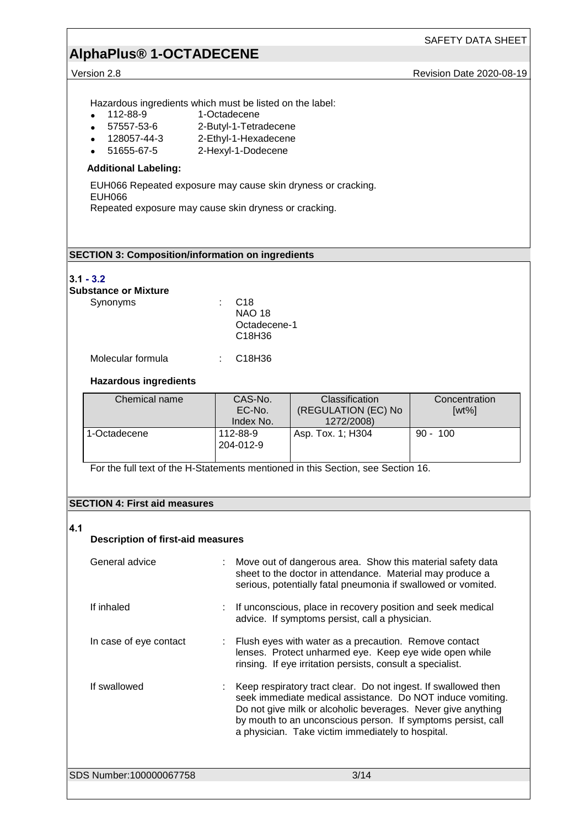# **AlphaPlus® 1-OCTADECENE**

Version 2.8 **Revision Date 2020-08-19** 

Hazardous ingredients which must be listed on the label:<br>• 112-88-9 1-Octadecene

- 112-88-9<br>• 57557-53-6
- 57557-53-6 2-Butyl-1-Tetradecene<br>• 128057-44-3 2-Ethyl-1-Hexadecene
- 128057-44-3 2-Ethyl-1-Hexadecene<br>• 51655-67-5 2-Hexyl-1-Dodecene
	- 2-Hexyl-1-Dodecene

#### **Additional Labeling:**

EUH066 Repeated exposure may cause skin dryness or cracking. EUH066

Repeated exposure may cause skin dryness or cracking.

### **SECTION 3: Composition/information on ingredients**

#### **3.1 - 3.2**

## **Substance or Mixture**

| Synonyms          | C <sub>18</sub><br><b>NAO 18</b><br>Octadecene-1<br>C <sub>18</sub> H <sub>36</sub> |
|-------------------|-------------------------------------------------------------------------------------|
| Molecular formula | C18H36                                                                              |

### **Hazardous ingredients**

| Chemical name | CAS-No.<br>EC-No.<br>Index No. | Classification<br>(REGULATION (EC) No<br>1272/2008) | Concentration<br>$[wt\%]$ |
|---------------|--------------------------------|-----------------------------------------------------|---------------------------|
| 1-Octadecene  | 112-88-9<br>204-012-9          | Asp. Tox. 1; H304                                   | $90 - 100$                |

For the full text of the H-Statements mentioned in this Section, see Section 16.

#### **SECTION 4: First aid measures**

### **4.1**

### **Description of first-aid measures**

| General advice          | Move out of dangerous area. Show this material safety data<br>sheet to the doctor in attendance. Material may produce a<br>serious, potentially fatal pneumonia if swallowed or vomited.                                                                                                                          |
|-------------------------|-------------------------------------------------------------------------------------------------------------------------------------------------------------------------------------------------------------------------------------------------------------------------------------------------------------------|
| If inhaled              | If unconscious, place in recovery position and seek medical<br>advice. If symptoms persist, call a physician.                                                                                                                                                                                                     |
| In case of eye contact  | Flush eyes with water as a precaution. Remove contact<br>lenses. Protect unharmed eye. Keep eye wide open while<br>rinsing. If eye irritation persists, consult a specialist.                                                                                                                                     |
| If swallowed            | Keep respiratory tract clear. Do not ingest. If swallowed then<br>seek immediate medical assistance. Do NOT induce vomiting.<br>Do not give milk or alcoholic beverages. Never give anything<br>by mouth to an unconscious person. If symptoms persist, call<br>a physician. Take victim immediately to hospital. |
| SDS Number:100000067758 | 3/14                                                                                                                                                                                                                                                                                                              |
|                         |                                                                                                                                                                                                                                                                                                                   |
|                         |                                                                                                                                                                                                                                                                                                                   |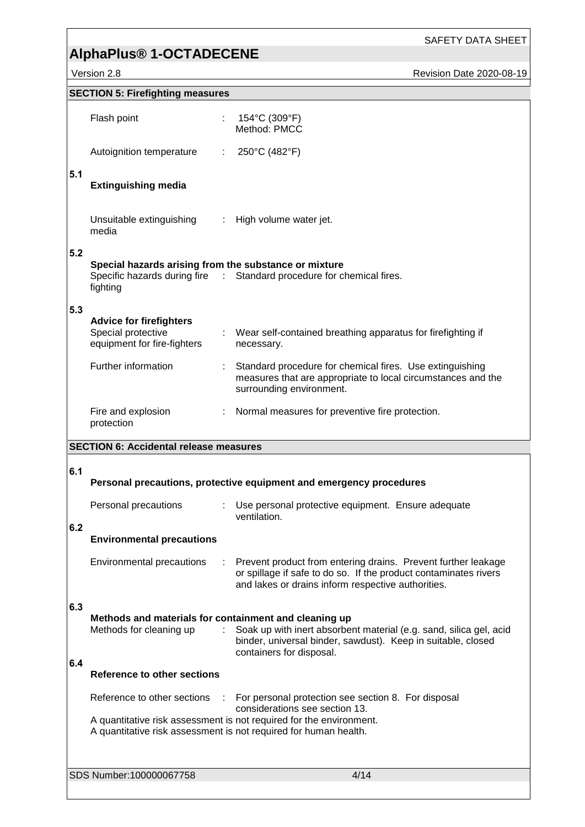# **AlphaPlus® 1-OCTADECENE**

Version 2.8 Revision Date 2020-08-19

|     | <b>SECTION 5: Firefighting measures</b>                                             |    |                                                                                                                                                                                         |
|-----|-------------------------------------------------------------------------------------|----|-----------------------------------------------------------------------------------------------------------------------------------------------------------------------------------------|
|     | Flash point                                                                         |    | : $154^{\circ}$ C (309 $^{\circ}$ F)<br>Method: PMCC                                                                                                                                    |
|     | Autoignition temperature                                                            |    | : $250^{\circ}$ C (482°F)                                                                                                                                                               |
| 5.1 | <b>Extinguishing media</b>                                                          |    |                                                                                                                                                                                         |
|     | Unsuitable extinguishing : High volume water jet.<br>media                          |    |                                                                                                                                                                                         |
| 5.2 | Special hazards arising from the substance or mixture<br>fighting                   |    | Specific hazards during fire : Standard procedure for chemical fires.                                                                                                                   |
| 5.3 |                                                                                     |    |                                                                                                                                                                                         |
|     | <b>Advice for firefighters</b><br>Special protective<br>equipment for fire-fighters |    | : Wear self-contained breathing apparatus for firefighting if<br>necessary.                                                                                                             |
|     | Further information                                                                 |    | : Standard procedure for chemical fires. Use extinguishing<br>measures that are appropriate to local circumstances and the<br>surrounding environment.                                  |
|     | Fire and explosion<br>protection                                                    |    | : Normal measures for preventive fire protection.                                                                                                                                       |
|     | <b>SECTION 6: Accidental release measures</b>                                       |    |                                                                                                                                                                                         |
|     |                                                                                     |    |                                                                                                                                                                                         |
| 6.1 |                                                                                     |    | Personal precautions, protective equipment and emergency procedures                                                                                                                     |
| 6.2 | Personal precautions                                                                |    | Use personal protective equipment. Ensure adequate<br>ventilation.                                                                                                                      |
|     | <b>Environmental precautions</b>                                                    |    |                                                                                                                                                                                         |
|     | <b>Environmental precautions</b>                                                    |    | Prevent product from entering drains. Prevent further leakage<br>or spillage if safe to do so. If the product contaminates rivers<br>and lakes or drains inform respective authorities. |
| 6.3 |                                                                                     |    |                                                                                                                                                                                         |
| 6.4 | Methods and materials for containment and cleaning up<br>Methods for cleaning up    | ÷. | Soak up with inert absorbent material (e.g. sand, silica gel, acid<br>binder, universal binder, sawdust). Keep in suitable, closed<br>containers for disposal.                          |
|     | <b>Reference to other sections</b>                                                  |    |                                                                                                                                                                                         |
|     | Reference to other sections                                                         |    | For personal protection see section 8. For disposal                                                                                                                                     |
|     |                                                                                     |    | considerations see section 13.<br>A quantitative risk assessment is not required for the environment.                                                                                   |
|     | A quantitative risk assessment is not required for human health.                    |    |                                                                                                                                                                                         |
|     | SDS Number:100000067758                                                             |    | 4/14                                                                                                                                                                                    |
|     |                                                                                     |    |                                                                                                                                                                                         |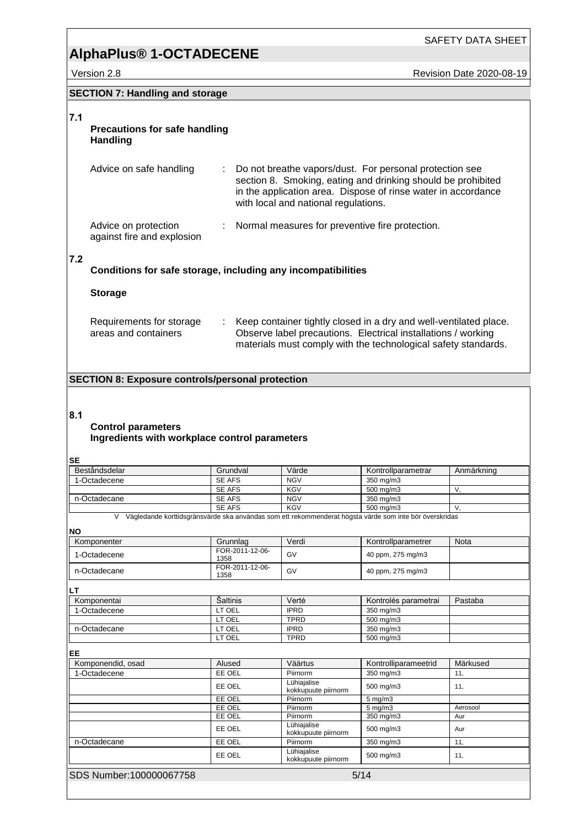SAFETY DATA SHEET

Version 2.8 **Revision Date 2020-08-19** 

### **SECTION 7: Handling and storage**

### **7.1**

#### **Precautions for safe handling Handling**

| Advice on safe handling                            |   | Do not breathe vapors/dust. For personal protection see<br>section 8. Smoking, eating and drinking should be prohibited<br>in the application area. Dispose of rinse water in accordance<br>with local and national regulations. |
|----------------------------------------------------|---|----------------------------------------------------------------------------------------------------------------------------------------------------------------------------------------------------------------------------------|
| Advice on protection<br>against fire and explosion | ÷ | Normal measures for preventive fire protection.                                                                                                                                                                                  |

#### **7.2**

**Conditions for safe storage, including any incompatibilities**

#### **Storage**

| Requirements for storage | Keep container tightly closed in a dry and well-ventilated place. |  |  |  |  |
|--------------------------|-------------------------------------------------------------------|--|--|--|--|
| areas and containers     | Observe label precautions. Electrical installations / working     |  |  |  |  |
|                          | materials must comply with the technological safety standards.    |  |  |  |  |

### **SECTION 8: Exposure controls/personal protection**

#### **8.1**

#### **Control parameters Ingredients with workplace control parameters**

#### **SE**

| Beståndsdelar | Grundval | Värde      | Kontrollparametrar | Anmärkning |
|---------------|----------|------------|--------------------|------------|
| 1-Octadecene  | SE AFS   | <b>NGV</b> | 350 mg/m3          |            |
|               | SE AFS   | <b>KGV</b> | 500 ma/m3          |            |
| n-Octadecane  | SE AFS   | <b>NGV</b> | 350 mg/m3          |            |
|               | SE AFS   | <b>KGV</b> | 500 ma/m3          |            |

V Vägledande korttidsgränsvärde ska användas som ett rekommenderat högsta värde som inte bör överskridas

#### **NO**

| NΟ                       |                         |                                    |                      |          |
|--------------------------|-------------------------|------------------------------------|----------------------|----------|
| Komponenter              | Grunnlag                | Verdi                              | Kontrollparametrer   | Nota     |
| 1-Octadecene             | FOR-2011-12-06-<br>1358 | GV                                 | 40 ppm, 275 mg/m3    |          |
| n-Octadecane             | FOR-2011-12-06-<br>1358 | GV                                 | 40 ppm, 275 mg/m3    |          |
| LТ                       |                         |                                    |                      |          |
| Komponentai              | Šaltinis                | Vertė                              | Kontrolės parametrai | Pastaba  |
| 1-Octadecene             | LT OEL                  | <b>IPRD</b>                        | 350 mg/m3            |          |
|                          | LT OEL                  | <b>TPRD</b>                        | 500 mg/m3            |          |
| n-Octadecane             | LT OEL                  | <b>IPRD</b>                        | 350 mg/m3            |          |
|                          | LT OEL                  | <b>TPRD</b>                        | 500 mg/m3            |          |
| EE                       |                         |                                    |                      |          |
| Komponendid, osad        | Alused                  | Väärtus                            | Kontrolliparameetrid | Märkused |
| 1-Octadecene             | EE OEL                  | Piirnorm                           | 350 mg/m3            | 11,      |
|                          | EE OEL                  | Lühiajalise<br>kokkupuute piirnorm | 500 mg/m3            | 11,      |
|                          | EE OEL                  | Piirnorm                           | $5 \text{ mg/m}$     |          |
|                          | EE OEL                  | Piirnorm                           | $5 \text{ mg/m}$ 3   | Aerosool |
|                          | EE OEL                  | Piirnorm                           | 350 mg/m3            | Aur      |
|                          | EE OEL                  | Lühiajalise<br>kokkupuute piirnorm | 500 mg/m3            | Aur      |
| n-Octadecane             | EE OEL                  | Piirnorm                           | 350 mg/m3            | 11,      |
|                          | EE OEL                  | Lühiajalise<br>kokkupuute piirnorm | 500 mg/m3            | 11,      |
| SDS Number: 100000067758 |                         |                                    | 5/14                 |          |
|                          |                         |                                    |                      |          |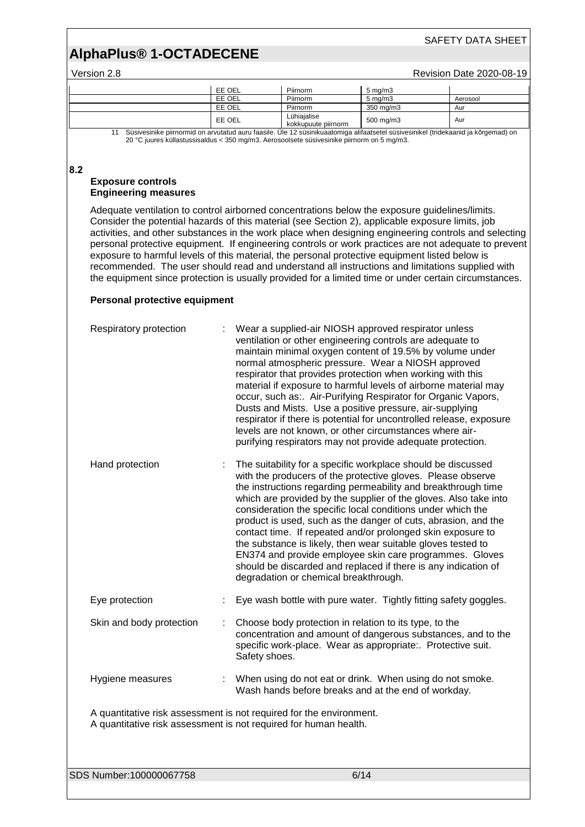#### Version 2.8 Revision Date 2020-08-19

|                                                                                                                                    | EE OEL | Piirnorm                           | $5 \text{ ma/m}$ 3 |          |
|------------------------------------------------------------------------------------------------------------------------------------|--------|------------------------------------|--------------------|----------|
|                                                                                                                                    | EE OEL | Piirnorm                           | $5 \text{ ma/m}$ 3 | Aerosool |
|                                                                                                                                    | EE OEL | Piirnorm                           | 350 mg/m3          | Aur      |
|                                                                                                                                    | EE OEL | Lühiajalise<br>kokkupuute piirnorm | 500 mg/m3          | Aur      |
| Süsivesinike piirnormid on arvutatud auru faasile. Üle 12 süsinikuaatomiga alifaatsetel süsivesinikel (tridekaanid ja kõrgemad) on |        |                                    |                    |          |

20 °C juures küllastussisaldus < 350 mg/m3. Aerosoolsete süsivesinike piirnorm on 5 mg/m3.

#### **8.2**

#### **Exposure controls Engineering measures**

Adequate ventilation to control airborned concentrations below the exposure guidelines/limits. Consider the potential hazards of this material (see Section 2), applicable exposure limits, job activities, and other substances in the work place when designing engineering controls and selecting personal protective equipment. If engineering controls or work practices are not adequate to prevent exposure to harmful levels of this material, the personal protective equipment listed below is recommended. The user should read and understand all instructions and limitations supplied with the equipment since protection is usually provided for a limited time or under certain circumstances.

### **Personal protective equipment**

| Respiratory protection                                                                                                                  | Wear a supplied-air NIOSH approved respirator unless<br>ventilation or other engineering controls are adequate to<br>maintain minimal oxygen content of 19.5% by volume under<br>normal atmospheric pressure. Wear a NIOSH approved<br>respirator that provides protection when working with this<br>material if exposure to harmful levels of airborne material may<br>occur, such as: Air-Purifying Respirator for Organic Vapors,<br>Dusts and Mists. Use a positive pressure, air-supplying<br>respirator if there is potential for uncontrolled release, exposure<br>levels are not known, or other circumstances where air-<br>purifying respirators may not provide adequate protection.        |  |  |  |
|-----------------------------------------------------------------------------------------------------------------------------------------|--------------------------------------------------------------------------------------------------------------------------------------------------------------------------------------------------------------------------------------------------------------------------------------------------------------------------------------------------------------------------------------------------------------------------------------------------------------------------------------------------------------------------------------------------------------------------------------------------------------------------------------------------------------------------------------------------------|--|--|--|
| Hand protection                                                                                                                         | The suitability for a specific workplace should be discussed<br>with the producers of the protective gloves. Please observe<br>the instructions regarding permeability and breakthrough time<br>which are provided by the supplier of the gloves. Also take into<br>consideration the specific local conditions under which the<br>product is used, such as the danger of cuts, abrasion, and the<br>contact time. If repeated and/or prolonged skin exposure to<br>the substance is likely, then wear suitable gloves tested to<br>EN374 and provide employee skin care programmes. Gloves<br>should be discarded and replaced if there is any indication of<br>degradation or chemical breakthrough. |  |  |  |
| Eye protection                                                                                                                          | Eye wash bottle with pure water. Tightly fitting safety goggles.                                                                                                                                                                                                                                                                                                                                                                                                                                                                                                                                                                                                                                       |  |  |  |
| Skin and body protection                                                                                                                | Choose body protection in relation to its type, to the<br>concentration and amount of dangerous substances, and to the<br>specific work-place. Wear as appropriate:. Protective suit.<br>Safety shoes.                                                                                                                                                                                                                                                                                                                                                                                                                                                                                                 |  |  |  |
| Hygiene measures                                                                                                                        | When using do not eat or drink. When using do not smoke.<br>Wash hands before breaks and at the end of workday.                                                                                                                                                                                                                                                                                                                                                                                                                                                                                                                                                                                        |  |  |  |
| A quantitative risk assessment is not required for the environment.<br>A quantitative risk assessment is not required for human health. |                                                                                                                                                                                                                                                                                                                                                                                                                                                                                                                                                                                                                                                                                                        |  |  |  |

SDS Number:100000067758 6/14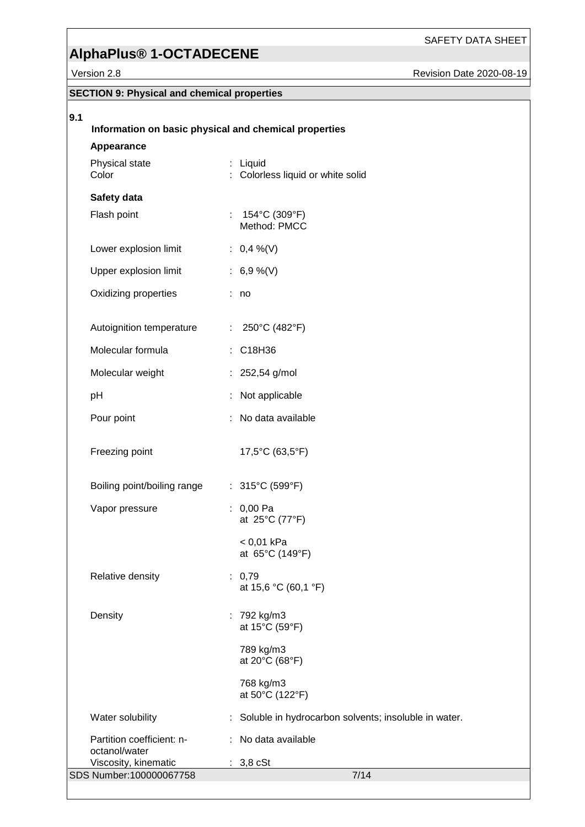SAFETY DATA SHEET

Revision Date 2020-08-19

|                                                    | Version 2.8                                           |    |                                                      | Revision Da |
|----------------------------------------------------|-------------------------------------------------------|----|------------------------------------------------------|-------------|
| <b>SECTION 9: Physical and chemical properties</b> |                                                       |    |                                                      |             |
| 9.1                                                |                                                       |    |                                                      |             |
|                                                    | Information on basic physical and chemical properties |    |                                                      |             |
|                                                    | Appearance                                            |    |                                                      |             |
|                                                    | Physical state<br>Color                               |    | : Liquid<br>Colorless liquid or white solid          |             |
|                                                    | Safety data                                           |    |                                                      |             |
|                                                    | Flash point                                           |    | : $154^{\circ}$ C (309 $^{\circ}$ F)<br>Method: PMCC |             |
|                                                    | Lower explosion limit                                 |    | : $0,4\%$ (V)                                        |             |
|                                                    | Upper explosion limit                                 |    | : $6,9\%$ (V)                                        |             |
|                                                    | Oxidizing properties                                  |    | : no                                                 |             |
|                                                    | Autoignition temperature                              |    | : $250^{\circ}$ C (482°F)                            |             |
|                                                    | Molecular formula                                     |    | : C18H36                                             |             |
|                                                    | Molecular weight                                      |    | : $252,54$ g/mol                                     |             |
|                                                    | рH                                                    |    | Not applicable                                       |             |
|                                                    | Pour point                                            |    | : No data available                                  |             |
|                                                    | Freezing point                                        |    | 17,5°C (63,5°F)                                      |             |
|                                                    | Boiling point/boiling range                           |    | $: 315^{\circ}$ C (599°F)                            |             |
|                                                    | Vapor pressure                                        |    | $: 0,00$ Pa<br>at 25°C (77°F)                        |             |
|                                                    |                                                       |    | $< 0.01$ kPa<br>at 65°C (149°F)                      |             |
|                                                    | Relative density                                      |    | : 0,79<br>at 15,6 °C (60,1 °F)                       |             |
|                                                    | Density                                               |    | : 792 kg/m3<br>at 15°C (59°F)                        |             |
|                                                    |                                                       |    | 789 kg/m3<br>at 20°C (68°F)                          |             |
|                                                    |                                                       |    | 768 kg/m3<br>at 50°C (122°F)                         |             |
|                                                    | Water solubility                                      | ÷. | Soluble in hydrocarbon solvents; insoluble in water. |             |
|                                                    | Partition coefficient: n-                             |    | : No data available                                  |             |
|                                                    | octanol/water<br>Viscosity, kinematic                 |    | : 3,8 cSt                                            |             |

SDS Number:100000067758 7/14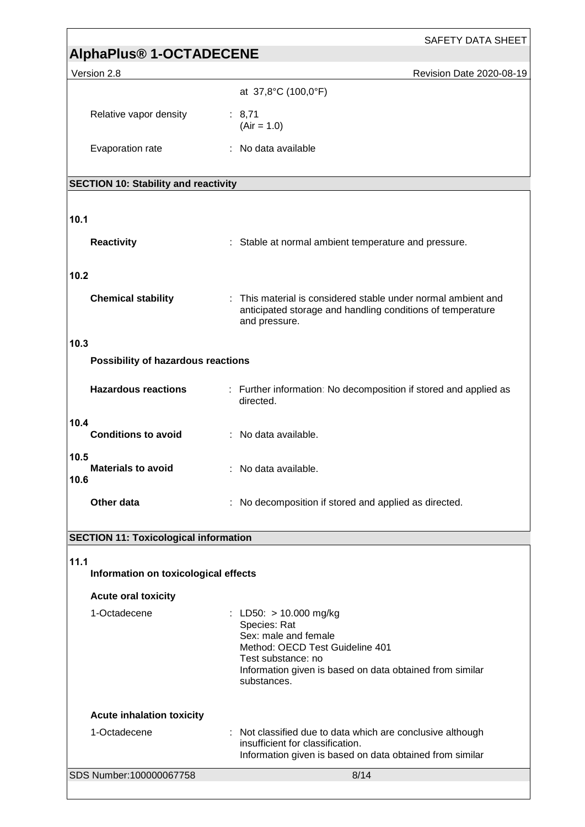| <b>SAFETY DATA SHEET</b>                     |                                                                                                                                                                                                      |  |  |
|----------------------------------------------|------------------------------------------------------------------------------------------------------------------------------------------------------------------------------------------------------|--|--|
| <b>AlphaPlus® 1-OCTADECENE</b>               |                                                                                                                                                                                                      |  |  |
| Version 2.8                                  | Revision Date 2020-08-19                                                                                                                                                                             |  |  |
|                                              | at 37,8°C (100,0°F)                                                                                                                                                                                  |  |  |
| Relative vapor density                       | : 8,71<br>$(Air = 1.0)$                                                                                                                                                                              |  |  |
| Evaporation rate                             | : No data available                                                                                                                                                                                  |  |  |
| <b>SECTION 10: Stability and reactivity</b>  |                                                                                                                                                                                                      |  |  |
|                                              |                                                                                                                                                                                                      |  |  |
| 10.1                                         |                                                                                                                                                                                                      |  |  |
| <b>Reactivity</b>                            | : Stable at normal ambient temperature and pressure.                                                                                                                                                 |  |  |
| 10.2                                         |                                                                                                                                                                                                      |  |  |
| <b>Chemical stability</b>                    | : This material is considered stable under normal ambient and<br>anticipated storage and handling conditions of temperature<br>and pressure.                                                         |  |  |
| 10.3                                         |                                                                                                                                                                                                      |  |  |
| Possibility of hazardous reactions           |                                                                                                                                                                                                      |  |  |
| <b>Hazardous reactions</b>                   | : Further information: No decomposition if stored and applied as<br>directed.                                                                                                                        |  |  |
| 10.4<br><b>Conditions to avoid</b>           | : No data available.                                                                                                                                                                                 |  |  |
| 10.5<br><b>Materials to avoid</b><br>10.6    | : No data available.                                                                                                                                                                                 |  |  |
| Other data                                   | No decomposition if stored and applied as directed.                                                                                                                                                  |  |  |
| <b>SECTION 11: Toxicological information</b> |                                                                                                                                                                                                      |  |  |
|                                              |                                                                                                                                                                                                      |  |  |
| 11.1<br>Information on toxicological effects |                                                                                                                                                                                                      |  |  |
| <b>Acute oral toxicity</b>                   |                                                                                                                                                                                                      |  |  |
| 1-Octadecene                                 | : LD50: $> 10.000$ mg/kg<br>Species: Rat<br>Sex: male and female<br>Method: OECD Test Guideline 401<br>Test substance: no<br>Information given is based on data obtained from similar<br>substances. |  |  |
| <b>Acute inhalation toxicity</b>             |                                                                                                                                                                                                      |  |  |
| 1-Octadecene                                 | : Not classified due to data which are conclusive although<br>insufficient for classification.<br>Information given is based on data obtained from similar                                           |  |  |
| SDS Number:100000067758                      | 8/14                                                                                                                                                                                                 |  |  |
|                                              |                                                                                                                                                                                                      |  |  |

<u> 1989 - Johann Stein, mars an deus Amerikaansk kommunister (\* 1958)</u>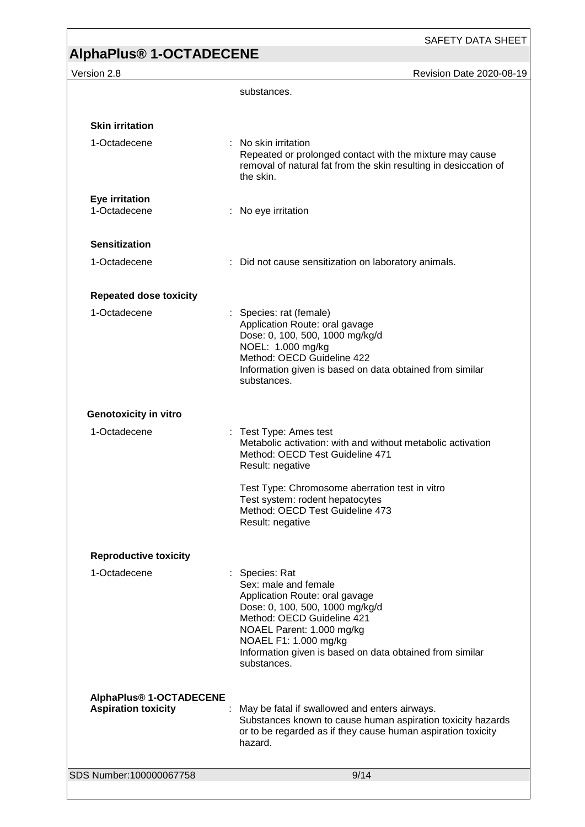SAFETY DATA SHEET

**Version 2.8** Revision Date 2020-08-19

|                                                       | substances.                                                                                                                                                                                                                                                                |
|-------------------------------------------------------|----------------------------------------------------------------------------------------------------------------------------------------------------------------------------------------------------------------------------------------------------------------------------|
|                                                       |                                                                                                                                                                                                                                                                            |
| <b>Skin irritation</b><br>1-Octadecene                | No skin irritation<br>Repeated or prolonged contact with the mixture may cause                                                                                                                                                                                             |
|                                                       | removal of natural fat from the skin resulting in desiccation of<br>the skin.                                                                                                                                                                                              |
| <b>Eye irritation</b><br>1-Octadecene                 | No eye irritation                                                                                                                                                                                                                                                          |
| <b>Sensitization</b>                                  |                                                                                                                                                                                                                                                                            |
| 1-Octadecene                                          | : Did not cause sensitization on laboratory animals.                                                                                                                                                                                                                       |
| <b>Repeated dose toxicity</b>                         |                                                                                                                                                                                                                                                                            |
| 1-Octadecene                                          | : Species: rat (female)<br>Application Route: oral gavage<br>Dose: 0, 100, 500, 1000 mg/kg/d<br>NOEL: 1.000 mg/kg<br>Method: OECD Guideline 422                                                                                                                            |
|                                                       | Information given is based on data obtained from similar<br>substances.                                                                                                                                                                                                    |
| <b>Genotoxicity in vitro</b>                          |                                                                                                                                                                                                                                                                            |
| 1-Octadecene<br>÷.                                    | Test Type: Ames test<br>Metabolic activation: with and without metabolic activation<br>Method: OECD Test Guideline 471<br>Result: negative                                                                                                                                 |
|                                                       | Test Type: Chromosome aberration test in vitro<br>Test system: rodent hepatocytes<br>Method: OECD Test Guideline 473<br>Result: negative                                                                                                                                   |
| <b>Reproductive toxicity</b>                          |                                                                                                                                                                                                                                                                            |
| 1-Octadecene                                          | : Species: Rat<br>Sex: male and female<br>Application Route: oral gavage<br>Dose: 0, 100, 500, 1000 mg/kg/d<br>Method: OECD Guideline 421<br>NOAEL Parent: 1.000 mg/kg<br>NOAEL F1: 1.000 mg/kg<br>Information given is based on data obtained from similar<br>substances. |
| AlphaPlus® 1-OCTADECENE<br><b>Aspiration toxicity</b> | May be fatal if swallowed and enters airways.<br>Substances known to cause human aspiration toxicity hazards<br>or to be regarded as if they cause human aspiration toxicity<br>hazard.                                                                                    |
| SDS Number:100000067758                               | 9/14                                                                                                                                                                                                                                                                       |
|                                                       |                                                                                                                                                                                                                                                                            |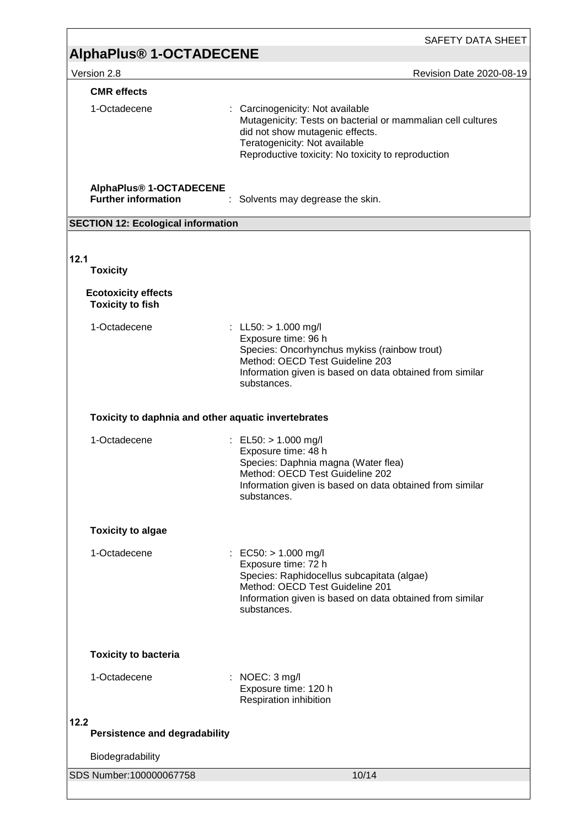|                                                       | <b>SAFETY DATA SHEET</b>                                                                                                                                                                                                  |
|-------------------------------------------------------|---------------------------------------------------------------------------------------------------------------------------------------------------------------------------------------------------------------------------|
| <b>AlphaPlus<sup>®</sup> 1-OCTADECENE</b>             |                                                                                                                                                                                                                           |
| Version 2.8                                           | Revision Date 2020-08-19                                                                                                                                                                                                  |
| <b>CMR</b> effects                                    |                                                                                                                                                                                                                           |
| 1-Octadecene                                          | : Carcinogenicity: Not available<br>Mutagenicity: Tests on bacterial or mammalian cell cultures<br>did not show mutagenic effects.<br>Teratogenicity: Not available<br>Reproductive toxicity: No toxicity to reproduction |
| AlphaPlus® 1-OCTADECENE<br><b>Further information</b> | Solvents may degrease the skin.                                                                                                                                                                                           |
| <b>SECTION 12: Ecological information</b>             |                                                                                                                                                                                                                           |
|                                                       |                                                                                                                                                                                                                           |
| 12.1                                                  |                                                                                                                                                                                                                           |
| <b>Toxicity</b>                                       |                                                                                                                                                                                                                           |
| <b>Ecotoxicity effects</b><br><b>Toxicity to fish</b> |                                                                                                                                                                                                                           |
| 1-Octadecene                                          | : LL50: $> 1.000$ mg/l<br>Exposure time: 96 h<br>Species: Oncorhynchus mykiss (rainbow trout)<br>Method: OECD Test Guideline 203<br>Information given is based on data obtained from similar<br>substances.               |
| Toxicity to daphnia and other aquatic invertebrates   |                                                                                                                                                                                                                           |
| 1-Octadecene                                          | : EL50: $> 1.000$ mg/l<br>Exposure time: 48 h<br>Species: Daphnia magna (Water flea)<br>Method: OECD Test Guideline 202<br>Information given is based on data obtained from similar<br>substances.                        |
| <b>Toxicity to algae</b>                              |                                                                                                                                                                                                                           |
| 1-Octadecene                                          | EC50: > 1.000 mg/l<br>Exposure time: 72 h<br>Species: Raphidocellus subcapitata (algae)<br>Method: OECD Test Guideline 201<br>Information given is based on data obtained from similar<br>substances.                     |
| <b>Toxicity to bacteria</b>                           |                                                                                                                                                                                                                           |
| 1-Octadecene                                          | NOEC: 3 mg/l<br>Exposure time: 120 h<br>Respiration inhibition                                                                                                                                                            |
| 12.2<br><b>Persistence and degradability</b>          |                                                                                                                                                                                                                           |
| Biodegradability                                      |                                                                                                                                                                                                                           |
| SDS Number:100000067758                               | 10/14                                                                                                                                                                                                                     |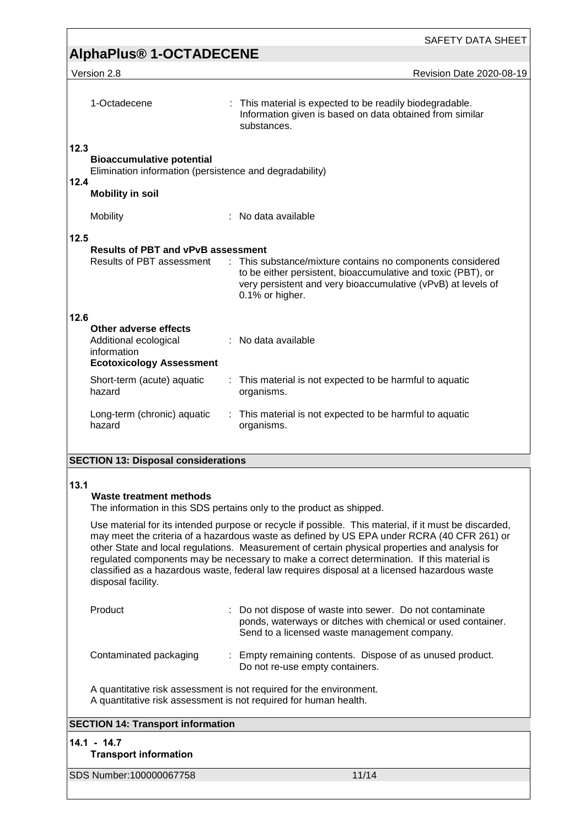| <b>SAFETY DATA SHEET</b>                                                                                                                                                                                                                                                                                                                                                                                                                                                                                                  |                                                                                                                                                                                                               |  |  |  |
|---------------------------------------------------------------------------------------------------------------------------------------------------------------------------------------------------------------------------------------------------------------------------------------------------------------------------------------------------------------------------------------------------------------------------------------------------------------------------------------------------------------------------|---------------------------------------------------------------------------------------------------------------------------------------------------------------------------------------------------------------|--|--|--|
| <b>AlphaPlus<sup>®</sup> 1-OCTADECENE</b>                                                                                                                                                                                                                                                                                                                                                                                                                                                                                 |                                                                                                                                                                                                               |  |  |  |
| Version 2.8                                                                                                                                                                                                                                                                                                                                                                                                                                                                                                               | Revision Date 2020-08-19                                                                                                                                                                                      |  |  |  |
| 1-Octadecene                                                                                                                                                                                                                                                                                                                                                                                                                                                                                                              | : This material is expected to be readily biodegradable.<br>Information given is based on data obtained from similar<br>substances.                                                                           |  |  |  |
| 12.3<br><b>Bioaccumulative potential</b><br>Elimination information (persistence and degradability)<br>12.4                                                                                                                                                                                                                                                                                                                                                                                                               |                                                                                                                                                                                                               |  |  |  |
| <b>Mobility in soil</b>                                                                                                                                                                                                                                                                                                                                                                                                                                                                                                   |                                                                                                                                                                                                               |  |  |  |
| Mobility                                                                                                                                                                                                                                                                                                                                                                                                                                                                                                                  | No data available                                                                                                                                                                                             |  |  |  |
| 12.5                                                                                                                                                                                                                                                                                                                                                                                                                                                                                                                      |                                                                                                                                                                                                               |  |  |  |
| <b>Results of PBT and vPvB assessment</b><br>Results of PBT assessment                                                                                                                                                                                                                                                                                                                                                                                                                                                    | : This substance/mixture contains no components considered<br>to be either persistent, bioaccumulative and toxic (PBT), or<br>very persistent and very bioaccumulative (vPvB) at levels of<br>0.1% or higher. |  |  |  |
| 12.6                                                                                                                                                                                                                                                                                                                                                                                                                                                                                                                      |                                                                                                                                                                                                               |  |  |  |
| Other adverse effects<br>Additional ecological<br>information<br><b>Ecotoxicology Assessment</b>                                                                                                                                                                                                                                                                                                                                                                                                                          | : No data available                                                                                                                                                                                           |  |  |  |
| Short-term (acute) aquatic<br>hazard                                                                                                                                                                                                                                                                                                                                                                                                                                                                                      | : This material is not expected to be harmful to aquatic<br>organisms.                                                                                                                                        |  |  |  |
| Long-term (chronic) aquatic<br>hazard                                                                                                                                                                                                                                                                                                                                                                                                                                                                                     | : This material is not expected to be harmful to aquatic<br>organisms.                                                                                                                                        |  |  |  |
| <b>SECTION 13: Disposal considerations</b>                                                                                                                                                                                                                                                                                                                                                                                                                                                                                |                                                                                                                                                                                                               |  |  |  |
|                                                                                                                                                                                                                                                                                                                                                                                                                                                                                                                           |                                                                                                                                                                                                               |  |  |  |
| 13.1<br><b>Waste treatment methods</b>                                                                                                                                                                                                                                                                                                                                                                                                                                                                                    | The information in this SDS pertains only to the product as shipped.                                                                                                                                          |  |  |  |
| Use material for its intended purpose or recycle if possible. This material, if it must be discarded,<br>may meet the criteria of a hazardous waste as defined by US EPA under RCRA (40 CFR 261) or<br>other State and local regulations. Measurement of certain physical properties and analysis for<br>regulated components may be necessary to make a correct determination. If this material is<br>classified as a hazardous waste, federal law requires disposal at a licensed hazardous waste<br>disposal facility. |                                                                                                                                                                                                               |  |  |  |
| Product                                                                                                                                                                                                                                                                                                                                                                                                                                                                                                                   | : Do not dispose of waste into sewer. Do not contaminate<br>ponds, waterways or ditches with chemical or used container.<br>Send to a licensed waste management company.                                      |  |  |  |
| Contaminated packaging                                                                                                                                                                                                                                                                                                                                                                                                                                                                                                    | : Empty remaining contents. Dispose of as unused product.<br>Do not re-use empty containers.                                                                                                                  |  |  |  |
|                                                                                                                                                                                                                                                                                                                                                                                                                                                                                                                           | A quantitative risk assessment is not required for the environment.<br>A quantitative risk assessment is not required for human health.                                                                       |  |  |  |
| <b>SECTION 14: Transport information</b>                                                                                                                                                                                                                                                                                                                                                                                                                                                                                  |                                                                                                                                                                                                               |  |  |  |
| $14.1 - 14.7$<br><b>Transport information</b>                                                                                                                                                                                                                                                                                                                                                                                                                                                                             |                                                                                                                                                                                                               |  |  |  |
| SDS Number:100000067758                                                                                                                                                                                                                                                                                                                                                                                                                                                                                                   | 11/14                                                                                                                                                                                                         |  |  |  |
|                                                                                                                                                                                                                                                                                                                                                                                                                                                                                                                           |                                                                                                                                                                                                               |  |  |  |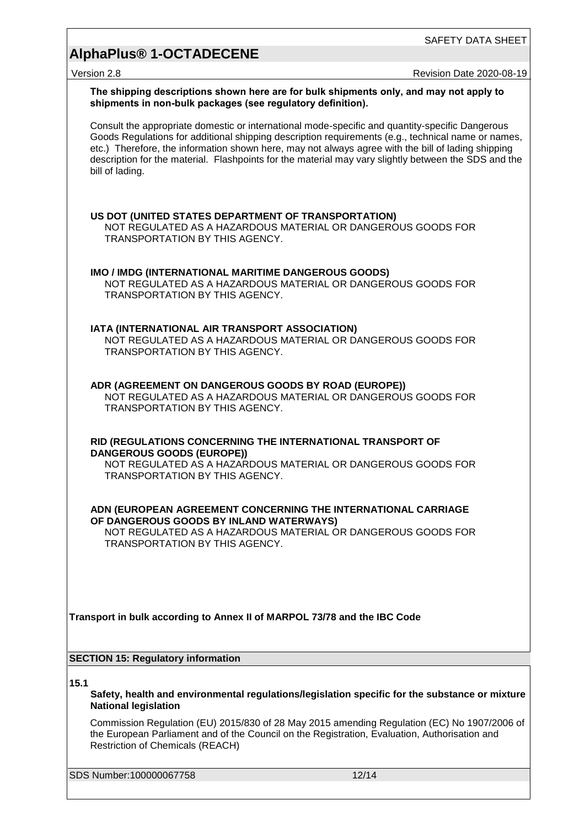# **AlphaPlus® 1-OCTADECENE**

Version 2.8 **Version 2.8** Revision Date 2020-08-19

|      | The shipping descriptions shown here are for bulk shipments only, and may not apply to<br>shipments in non-bulk packages (see regulatory definition).                                                                                                                                                                                                                                                                                  |  |
|------|----------------------------------------------------------------------------------------------------------------------------------------------------------------------------------------------------------------------------------------------------------------------------------------------------------------------------------------------------------------------------------------------------------------------------------------|--|
|      | Consult the appropriate domestic or international mode-specific and quantity-specific Dangerous<br>Goods Regulations for additional shipping description requirements (e.g., technical name or names,<br>etc.) Therefore, the information shown here, may not always agree with the bill of lading shipping<br>description for the material. Flashpoints for the material may vary slightly between the SDS and the<br>bill of lading. |  |
|      | US DOT (UNITED STATES DEPARTMENT OF TRANSPORTATION)<br>NOT REGULATED AS A HAZARDOUS MATERIAL OR DANGEROUS GOODS FOR<br>TRANSPORTATION BY THIS AGENCY.                                                                                                                                                                                                                                                                                  |  |
|      | IMO / IMDG (INTERNATIONAL MARITIME DANGEROUS GOODS)<br>NOT REGULATED AS A HAZARDOUS MATERIAL OR DANGEROUS GOODS FOR<br>TRANSPORTATION BY THIS AGENCY.                                                                                                                                                                                                                                                                                  |  |
|      | IATA (INTERNATIONAL AIR TRANSPORT ASSOCIATION)<br>NOT REGULATED AS A HAZARDOUS MATERIAL OR DANGEROUS GOODS FOR<br><b>TRANSPORTATION BY THIS AGENCY.</b>                                                                                                                                                                                                                                                                                |  |
|      | ADR (AGREEMENT ON DANGEROUS GOODS BY ROAD (EUROPE))<br>NOT REGULATED AS A HAZARDOUS MATERIAL OR DANGEROUS GOODS FOR<br>TRANSPORTATION BY THIS AGENCY.                                                                                                                                                                                                                                                                                  |  |
|      | RID (REGULATIONS CONCERNING THE INTERNATIONAL TRANSPORT OF<br><b>DANGEROUS GOODS (EUROPE))</b><br>NOT REGULATED AS A HAZARDOUS MATERIAL OR DANGEROUS GOODS FOR<br>TRANSPORTATION BY THIS AGENCY.                                                                                                                                                                                                                                       |  |
|      | ADN (EUROPEAN AGREEMENT CONCERNING THE INTERNATIONAL CARRIAGE<br>OF DANGEROUS GOODS BY INLAND WATERWAYS)<br>NOT REGULATED AS A HAZARDOUS MATERIAL OR DANGEROUS GOODS FOR<br>TRANSPORTATION BY THIS AGENCY.                                                                                                                                                                                                                             |  |
|      | Transport in bulk according to Annex II of MARPOL 73/78 and the IBC Code                                                                                                                                                                                                                                                                                                                                                               |  |
|      | <b>SECTION 15: Regulatory information</b>                                                                                                                                                                                                                                                                                                                                                                                              |  |
| 15.1 | Safety, health and environmental regulations/legislation specific for the substance or mixture<br><b>National legislation</b>                                                                                                                                                                                                                                                                                                          |  |
|      | Commission Regulation (EU) 2015/830 of 28 May 2015 amending Regulation (EC) No 1907/2006 of<br>the European Parliament and of the Council on the Registration, Evaluation, Authorisation and<br><b>Restriction of Chemicals (REACH)</b>                                                                                                                                                                                                |  |
|      | SDS Number:100000067758<br>12/14                                                                                                                                                                                                                                                                                                                                                                                                       |  |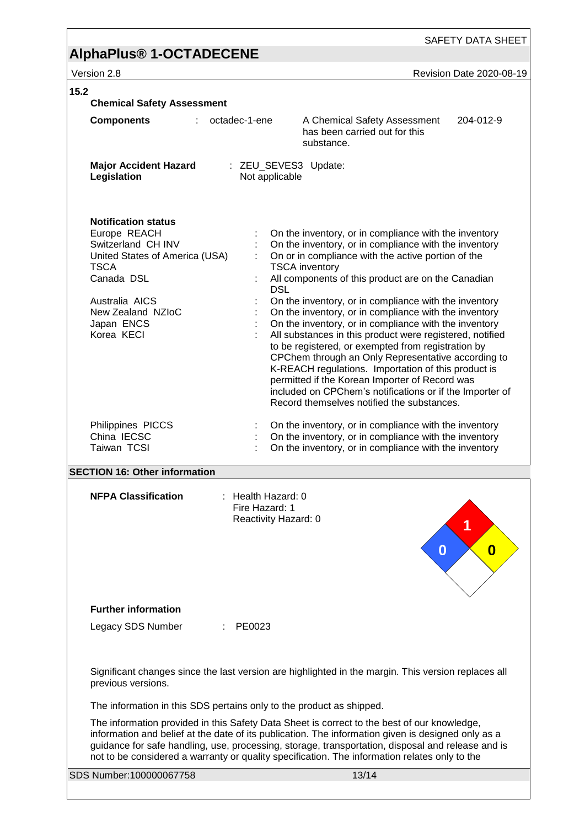# **AlphaPlus® 1-OCTADECENE**

version 2.8 Version 2.8

| 15.2<br><b>Chemical Safety Assessment</b>                                                                                                                                                          |                                                              |                                                                                                                                                                                                                                                                                                                                                                                                                                                                                                                                                                                                                                                                                                                                                                                                                           |           |
|----------------------------------------------------------------------------------------------------------------------------------------------------------------------------------------------------|--------------------------------------------------------------|---------------------------------------------------------------------------------------------------------------------------------------------------------------------------------------------------------------------------------------------------------------------------------------------------------------------------------------------------------------------------------------------------------------------------------------------------------------------------------------------------------------------------------------------------------------------------------------------------------------------------------------------------------------------------------------------------------------------------------------------------------------------------------------------------------------------------|-----------|
| <b>Components</b>                                                                                                                                                                                  | octadec-1-ene                                                | A Chemical Safety Assessment<br>has been carried out for this<br>substance.                                                                                                                                                                                                                                                                                                                                                                                                                                                                                                                                                                                                                                                                                                                                               | 204-012-9 |
| <b>Major Accident Hazard</b><br>Legislation                                                                                                                                                        | : ZEU_SEVES3 Update:<br>Not applicable                       |                                                                                                                                                                                                                                                                                                                                                                                                                                                                                                                                                                                                                                                                                                                                                                                                                           |           |
| <b>Notification status</b><br>Europe REACH<br>Switzerland CH INV<br>United States of America (USA)<br><b>TSCA</b><br>Canada DSL<br>Australia AICS<br>New Zealand NZIoC<br>Japan ENCS<br>Korea KECI | <b>DSL</b>                                                   | On the inventory, or in compliance with the inventory<br>On the inventory, or in compliance with the inventory<br>On or in compliance with the active portion of the<br><b>TSCA</b> inventory<br>All components of this product are on the Canadian<br>On the inventory, or in compliance with the inventory<br>On the inventory, or in compliance with the inventory<br>On the inventory, or in compliance with the inventory<br>All substances in this product were registered, notified<br>to be registered, or exempted from registration by<br>CPChem through an Only Representative according to<br>K-REACH regulations. Importation of this product is<br>permitted if the Korean Importer of Record was<br>included on CPChem's notifications or if the Importer of<br>Record themselves notified the substances. |           |
| Philippines PICCS<br>China IECSC<br>Taiwan TCSI                                                                                                                                                    |                                                              | On the inventory, or in compliance with the inventory<br>On the inventory, or in compliance with the inventory<br>On the inventory, or in compliance with the inventory                                                                                                                                                                                                                                                                                                                                                                                                                                                                                                                                                                                                                                                   |           |
| <b>SECTION 16: Other information</b>                                                                                                                                                               |                                                              |                                                                                                                                                                                                                                                                                                                                                                                                                                                                                                                                                                                                                                                                                                                                                                                                                           |           |
| <b>NFPA Classification</b>                                                                                                                                                                         | : Health Hazard: 0<br>Fire Hazard: 1<br>Reactivity Hazard: 0 | 0                                                                                                                                                                                                                                                                                                                                                                                                                                                                                                                                                                                                                                                                                                                                                                                                                         | 0         |
| <b>Further information</b>                                                                                                                                                                         |                                                              |                                                                                                                                                                                                                                                                                                                                                                                                                                                                                                                                                                                                                                                                                                                                                                                                                           |           |
| Legacy SDS Number                                                                                                                                                                                  | PE0023                                                       | Significant changes since the last version are highlighted in the margin. This version replaces all                                                                                                                                                                                                                                                                                                                                                                                                                                                                                                                                                                                                                                                                                                                       |           |
| previous versions.                                                                                                                                                                                 |                                                              |                                                                                                                                                                                                                                                                                                                                                                                                                                                                                                                                                                                                                                                                                                                                                                                                                           |           |
|                                                                                                                                                                                                    |                                                              | The information in this SDS pertains only to the product as shipped.<br>The information provided in this Safety Data Sheet is correct to the best of our knowledge,<br>information and belief at the date of its publication. The information given is designed only as a<br>guidance for safe handling, use, processing, storage, transportation, disposal and release and is<br>not to be considered a warranty or quality specification. The information relates only to the                                                                                                                                                                                                                                                                                                                                           |           |
| SDS Number:100000067758                                                                                                                                                                            |                                                              | 13/14                                                                                                                                                                                                                                                                                                                                                                                                                                                                                                                                                                                                                                                                                                                                                                                                                     |           |